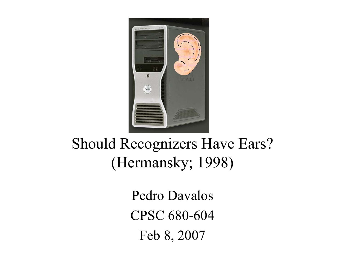

#### Should Recognizers Have Ears? (Hermansky; 1998)

Pedro Davalos CPSC 680-604Feb 8, 2007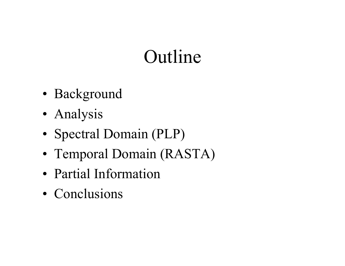## Outline

- Background
- Analysis
- Spectral Domain (PLP)
- Temporal Domain (RASTA)
- Partial Information
- Conclusions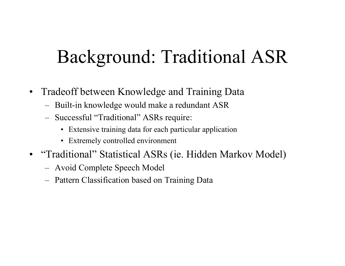## Background: Traditional ASR

- $\bullet$  Tradeoff between Knowledge and Training Data
	- Built-in knowledge would make a redundant ASR
	- – Successful "Traditional" ASRs require:
		- Extensive training data for each particular application
		- Extremely controlled environment
- • "Traditional" Statistical ASRs (ie. Hidden Markov Model)
	- Avoid Complete Speech Model
	- –Pattern Classification based on Training Data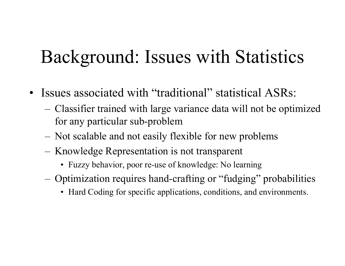## Background: Issues with Statistics

- Issues associated with "traditional" statistical ASRs:
	- – Classifier trained with large variance data will not be optimized for any particular sub-problem
	- Not scalable and not easily flexible for new problems
	- Knowledge Representation is not transparent
		- Fuzzy behavior, poor re-use of knowledge: No learning
	- – Optimization requires hand-crafting or "fudging" probabilities
		- Hard Coding for specific applications, conditions, and environments.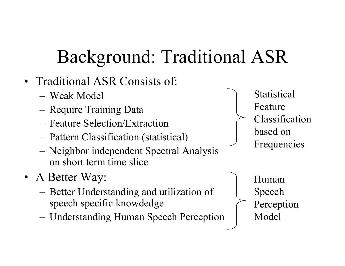# Background: Traditional ASR

- • Traditional ASR Consists of:
	- Weak Model
	- –Require Training Data
	- Feature Selection/Extraction
	- –Pattern Classification (statistical)
	- – Neighbor independent Spectral Analysis on short term time slice
- • A Better Way:
	- – Better Understanding and utilization of speech specific knowdedge
	- –Understanding Human Speech Perception

**Statistical** Feature Classification based on Frequencies

> Human Speech Perception Model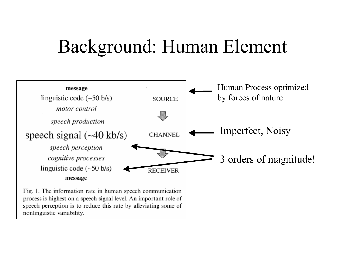## Background: Human Element

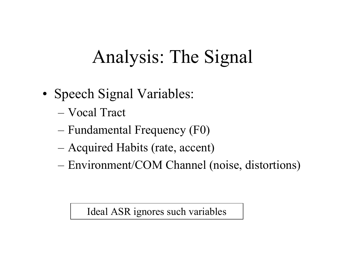# Analysis: The Signal

- Speech Signal Variables:
	- Vocal Tract
	- –Fundamental Frequency (F0)
	- and the contract of the contract of Acquired Habits (rate, accent)
	- $-$ Environment/COM Channel (noise, distortions)

Ideal ASR ignores such variables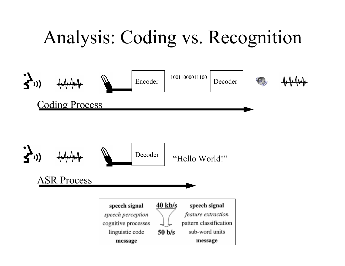# Analysis: Coding vs. Recognition



ASR Process

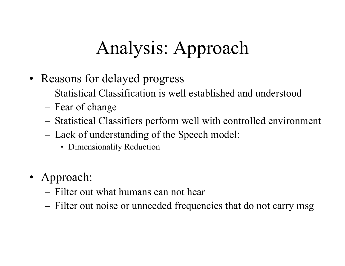# Analysis: Approach

- Reasons for delayed progress
	- Statistical Classification is well established and understood
	- –Fear of change
	- –Statistical Classifiers perform well with controlled environment
	- – Lack of understanding of the Speech model:
		- Dimensionality Reduction
- Approach:
	- Filter out what humans can not hear
	- –Filter out noise or unneeded frequencies that do not carry msg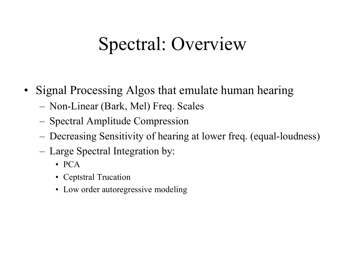# Spectral: Overview

- • Signal Processing Algos that emulate human hearing
	- –Non-Linear (Bark, Mel) Freq. Scales
	- –Spectral Amplitude Compression
	- –Decreasing Sensitivity of hearing at lower freq. (equal-loudness)
	- – Large Spectral Integration by:
		- PCA
		- Ceptstral Trucation
		- Low order autoregressive modeling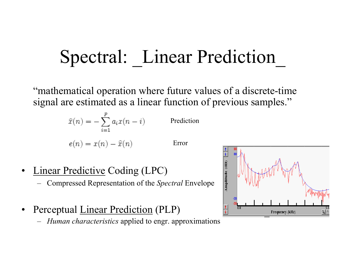# Spectral: Linear Prediction

"mathematical operation where future values of a discrete-time signal are estimated as a linear function of previous samples."

$$
\hat{x}(n) = -\sum_{i=1}^{p} a_i x(n-i)
$$
 Prediction  

$$
e(n) = x(n) - \hat{x}(n)
$$
 Error

- • Linear Predictive Coding (LPC)
	- –Compressed Representation of the *Spectral* Envelope
- • Perceptual Linear Prediction (PLP)
	- *Human characteristics* applied to engr. approximations

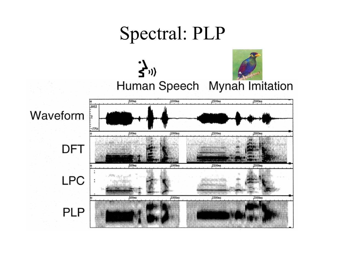### Spectral: PLP

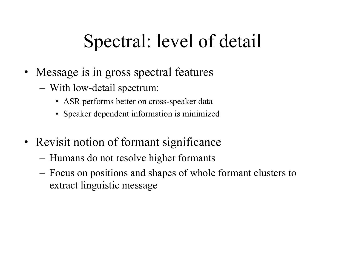# Spectral: level of detail

- Message is in gross spectral features
	- – With low-detail spectrum:
		- ASR performs better on cross-speaker data
		- Speaker dependent information is minimized
- Revisit notion of formant significance
	- –Humans do not resolve higher formants
	- – Focus on positions and shapes of whole formant clusters to extract linguistic message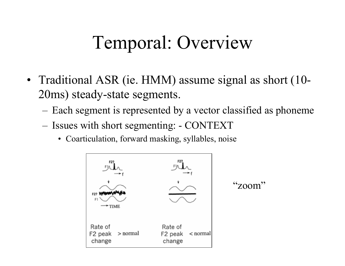## Temporal: Overview

- Traditional ASR (ie. HMM) assume signal as short (10- 20ms) steady-state segments.
	- –Each segment is represented by a vector classified as phoneme
	- – Issues with short segmenting: - CONTEXT
		- Coarticulation, forward masking, syllables, noise

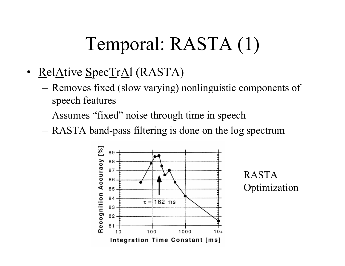# Temporal: RASTA (1)

- RelAtive SpecTrAl (RASTA)
	- – Removes fixed (slow varying) nonlinguistic components of speech features
	- Assumes "fixed" noise through time in speech
	- RASTA band-pass filtering is done on the log spectrum



RASTA **Optimization**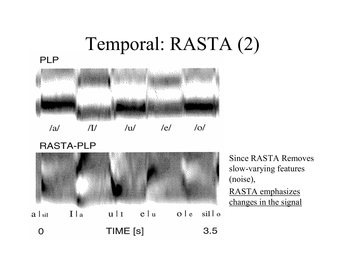## Temporal: RASTA (2)

#### **PLP**



 $/al$  $\overline{u}$  $\overline{u}$  $/el$  $\sqrt{Q}$ 

#### **RASTA-PLP**



Since RASTA Removes slow-varying features (noise), RASTA emphasizes changes in the signal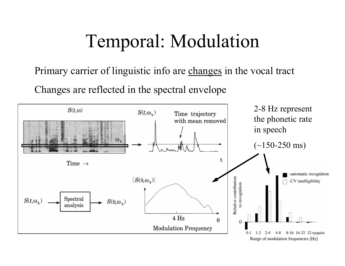## Temporal: Modulation

Primary carrier of linguistic info are changes in the vocal tract

Changes are reflected in the spectral envelope

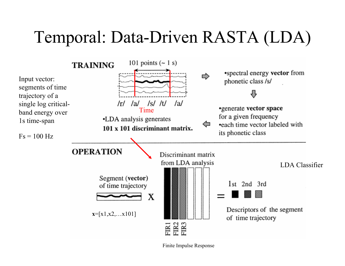## Temporal: Data-Driven RASTA (LDA)



Finite Impulse Response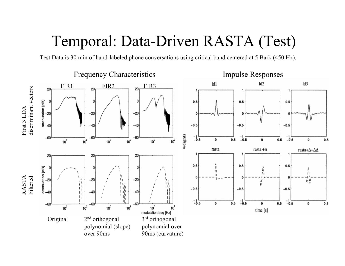#### Temporal: Data-Driven RASTA (Test)

Test Data is 30 min of hand-labeled phone conversations using critical band centered at 5 Bark (450 Hz).

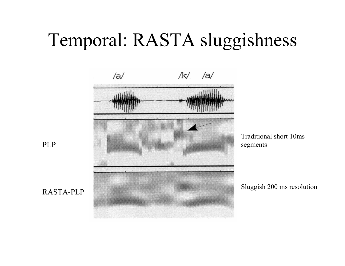## Temporal: RASTA sluggishness



Traditional short 10ms segments

Sluggish 200 ms resolution

PLP

RASTA-PLP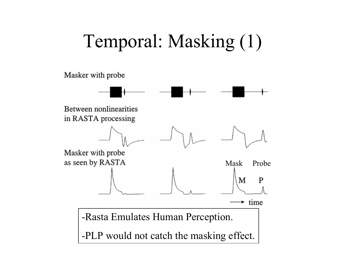## Temporal: Masking (1)

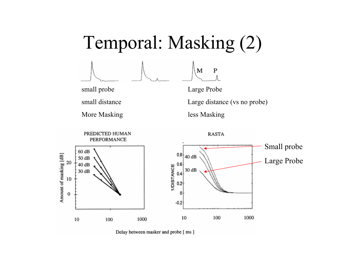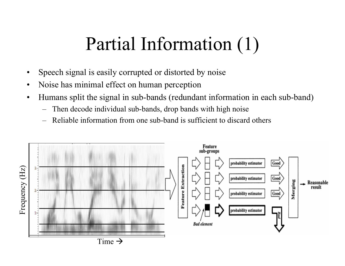## Partial Information (1)

- •Speech signal is easily corrupted or distorted by noise
- •Noise has minimal effect on human perception
- • Humans split the signal in sub-bands (redundant information in each sub-band)
	- Then decode individual sub-bands, drop bands with high noise
	- –Reliable information from one sub-band is sufficient to discard others

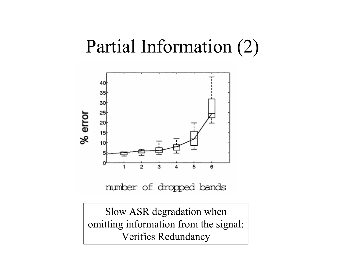## Partial Information (2)



Slow ASR degradation when omitting information from the signal: Verifies Redundancy